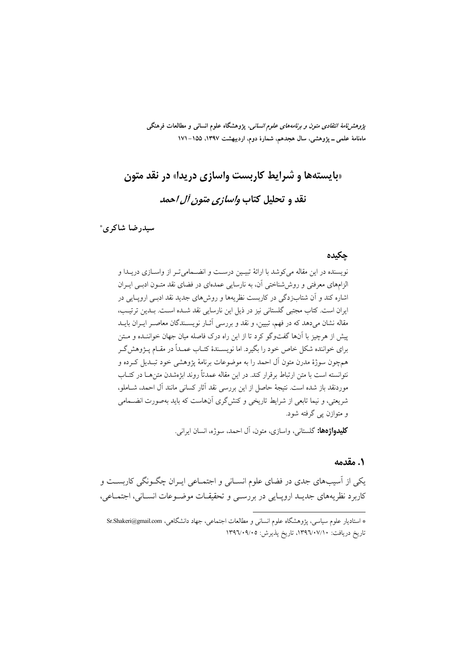*پژوهشنامهٔ انتقادی متون و برنامههای علوم انسانی*، پژوهشگاه علوم انسانی و مطالعات فرهنگی ماهنامهٔ علمی ــ پژوهشی، سال هجدهم، شمارهٔ دوم، اردیبهشت ۱۳۹۷، ۱۵۵–۱۷۱

# «بایستهها و شرایط کاربست واسازی دریدا» در نقد متون

# نقد و تحليل كتاب *واسازي متون آل احمد*

سيدرضا شاكري\*

#### حكىدە

نویسنده در این مقاله می کوشد با ارائهٔ تبیین درست و انضــمامی تـر از واســازی دریــدا و الزامهای معرفتی و روش شناختی آن، به نارسایی عمدهای در فضای نقد متـون ادبـی ایـران اشاره کند و آن شتابزدگی در کاربست نظریهها و روش۵ای جدید نقد ادبـی اروپـایی در ایران است. کتاب مجتبی گلستانی نیز در ذیل این نارسایی نقد شـده اسـت. بـدین ترتیـب، مقاله نشان می دهد که در فهم، تبیین، و نقد و بررسی آثــار نویســندگان معاصــر ایــران بایــد پیش از هرچیز با آنها گفتوگو کرد تا از این راه درک فاصله میان جهان خواننـده و مـتن برای خواننده شکل خاص خود را بگیرد. اما نویسـندهٔ کتـاب عمـداً در مقـام پـژوهش گـر همچون سوژهٔ مدرن متون آل احمد را به موضوعات برنامهٔ یژوهشی خود تبـدیل کـرده و نتوانسته است با متن ارتباط برقرار کند. در این مقاله عمدتاً روند ابژهشدن متن هـا در کتــاب موردنقد باز شده است. نتيجهٔ حاصل از اين بررسي نقد آثار كساني مانند آل احمد، شــاملو، شریعتی، و نیما تابعی از شرایط تاریخی و کنش گری آنهاست که باید بهصورت انضـمامی و متوازن پي گرفته شود.

**كليدواژهها:** گلستاني، واسازي، متون، آل احمد، سوژه، انسان ايراني.

#### ١. مقدمه

یکی از آسیبهای جدی در فضای علوم انسـانی و اجتمـاعی ایـران چگـونگی کاربسـت و كاربرد نظريههاي جديـد ارويـايي در بررسـي و تحقيقـات موضـوعات انسـاني، اجتمـاعي،

<sup>\*</sup> استادیار علوم سیاسی، یژوهشگاه علوم انسانی و مطالعات اجتماعی، جهاد دانشگاهی، Sr.Shakeri@gmail.com تاریخ دریافت: ۰۷/۱۰۷/۱۰، تاریخ پذیرش: ۱۳۹٦/۰۹/۰۵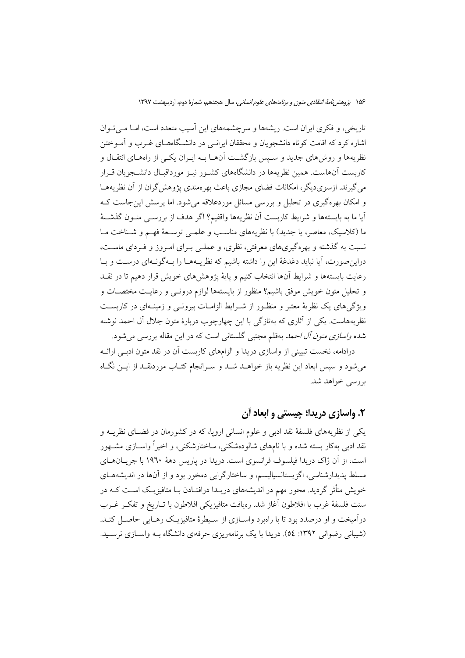تاریخی، و فکری ایران است. ریشهها و سرچشمههای این آسیب متعدد است، امــا مــی تــوان اشاره کرد که اقامت کوتاه دانشجویان و محققان ایرانسی در دانشگاههـای غــرب و آمــوختن نظریهها و روشهای جدید و سـیس بازگشــت آنهــا بــه ایــران یکــی از راههــای انتقــال و کاربست آنهاست. همین نظریهها در دانشگاههای کشـور نیـز مورداقبـال دانشـجویان قـرار می گیرند. ازسوی دیگر، امکانات فضای مجازی باعث بهر ممندی پژوهش گران از آن نظریههـا و امکان بھرہگیری در تحلیل و بررسی مسائل موردعلاقه می شود. اما پرسش این جاست ک آيا ما به بايستهها و شرايط كاربست آن نظريهها واقفيم؟ اگر هدف از بررســي متــون گذشــتهٔ ما (كلاسيك، معاصر، يا جديد) با نظريههاي مناسب و علمـي توسـعهٔ فهـم و شـناخت مـا نسبت به گذشته و بهرهگیریهای معرفتی، نظری، و عملـی بـرای امـروز و فـردای ماسـت، دراین صورت، آیا نباید دغدغهٔ این را داشته باشیم که نظریـههـا را بـهگونـهای درسـت و بـا رعايت بايستهها و شرايط آنها انتخاب كنيم و پايهٔ پژوهشهاى خويش قرار دهيم تا در نقـد و تحلیل متون خویش موفق باشیم؟ منظور از بایستهها لوازم درونـبی و رعایـت مختصــات و ویژگیهای یک نظریهٔ معتبر و منظـور از شـرایط الزامـات بیرونـی و زمینـهای در کاربسـت نظریههاست. یکی از آثاری که بهتازگی با این چهارچوب دربارهٔ متون جلال آل احمد نوشته شده *واسازی متون آل احمد* بهقلم مجتبی گلستانی است که در این مقاله بررسی می شود.

درادامه، نخست تبیینی از واسازی دریدا و الزامهای کاربست آن در نقد متون ادبـی ارائــه می شود و سپس ابعاد این نظریه باز خواهید شید و سیرانجام کتباب موردنقید از ایین نگیاه بررسی خواهد شد.

#### ۲. واسازی دریدا؛ چیستی و ابعاد آن

یکی از نظریههای فلسفهٔ نقد ادبی و علوم انسانی اروپا، که در کشورمان در فضـای نظریــه و نقد ادبی بهکار بسته شده و با نامهای شالودهشکنی، ساختارشکنی، و اخیراً واســازی مشــهور است، از آن ژاک دریدا فیلسوف فرانسوی است. دریدا در پاریس دههٔ ۱۹۳۰ با جریــانهــای مسلط پدیدارشناسی، اگزیستانسپالیسم، و ساختارگرایی دمخور بود و از آنها در اندیشههبای خویش متأثر گردید. محور مهم در اندیشههای دریـدا درافتـادن بـا متافیزیـک اسـت کـه در سنت فلسفهٔ غرب با افلاطون آغاز شد. رەيافت متافيزيكي افلاطون با تــاريخ و تفكــر غــرب درآمیخت و او درصدد بود تا با راهبرد واســازی از ســیطرهٔ متافیزیــک رهــایی حاصــل کنــد. (شیبانی رضوانی ۱۳۹۲: ٥٤). دریدا با یک برنامهریزی حرفهای دانشگاه بـه واســازی نرســید.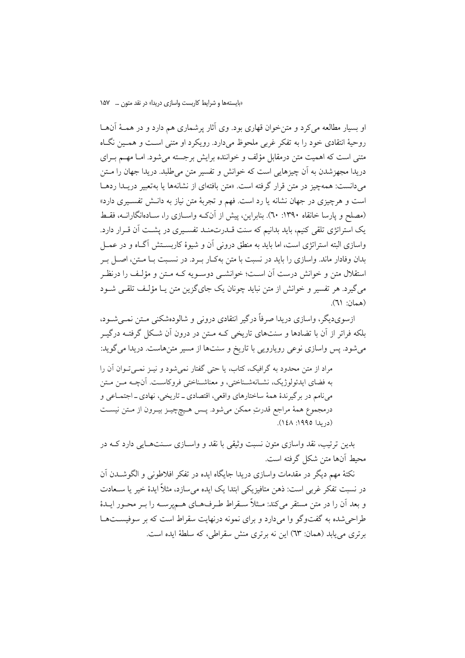او بسیار مطالعه می کرد و متن خوان قهاری بود. وی آثار پرشماری هم دارد و در همـهٔ آنهـا روحيهٔ انتقادي خود را به تفكر غربي ملحوظ مي دارد. رويكرد او متني اسـت و همـين نگـاه متنی است که اهمیت متن درمقابل مؤلف و خواننده برایش برجسته می شود. امـا مهـم بـرای دریدا مجهزشدن به آن چیزهایی است که خوانش و تفسیر متن می طلبد. دریدا جهان را مــتن م دانست: همهچیز در متن قرار گرفته است. «متن بافتهای از نشانهها یا بهتعبیر دریــدا ردهــا است و هرچیزی در جهان نشانه یا رد است. فهم و تجربهٔ متن نیاز به دانـش تفسـیری دارد» (مصلح و یارسا خانقاه ۱۳۹۰: ۲۰). بنابراین، پیش از آنکـه واســازی را، ســادهانگارانــه، فقـط یک استراتژی تلقی کنیم، باید بدانیم که سنت قــدرتمنــد تفســیری در پشــت اَن قــرار دارد. واسازی البته استراتژی است، اما باید به منطق درونی آن و شیوهٔ کاربسـتش آگـاه و در عمــل بدان وفادار ماند. واسازی را باید در نسبت با متن بهکـار بـرد. در نسـبت بـا مـتن، اصـل بـر استقلال متن و خوانش درست آن اسـت؛ خوانشــي دوســويه كــه مــتن و مؤلـف را درنظـر می گیرد. هر تفسیر و خوانش از متن نباید چونان یک جای گزین متن یـا مؤلـف تلقـی شـود (همان: ٦١).

ازسویدیگر، واسازی دریدا صرفاً درگیر انتقادی درونی و شالودهشکنی مـتن نمـی شـود، بلکه فراتر از آن با تضادها و سنتهای تاریخی کـه مـتن در درون آن شـکل گرفتـه درگیـر میشود. پس واسازی نوعی رویارویی با تاریخ و سنتها از مسیر متنهاست. دریدا میگوید:

مراد از متن محدود به گرافیک، کتاب، یا حتی گفتار نمیشود و نیـز نمـی تـوان آن را به فضاي ايدئولوژيک، نشـانهشـناختي، و معناشـناختي فروكاسـت. آنچــه مـن مـتن مي نامم در برگير ندهٔ همهٔ ساختارهاي واقعي، اقتصادي ــ تاريخي، نهادي ــ اجتمــاعي و درمجموع همهٔ مراجع قدرتِ ممکن میشود. پـس هـیچچیـز بیـرون از مـتن نیسـت  $(L, L)$  (دريدا ١٩٩٥: ١٤٨).

بدین ترتیب، نقد واسازی متون نسبت وثیقی با نقد و واسـازی سـنتهـایی دارد کـه در محيط أنها متن شكل گرفته است.

نکتهٔ مهم دیگر در مقدمات واسازی دریدا جایگاه ایده در تفکر افلاطونی و الگوشــدن اَن در نسبت تفکر غربی است: ذهن متافیزیکی ابتدا یک ایده می سازد، مثلاً ایدهٔ خیر یا ســعادت و بعد أن را در متن مستقر مي كند: مـثلاً سـقراط طـرفهـاي هـميرسـه را بـر محـور ايـدهٔ طراحی شده به گفتوگو وا می دارد و برای نمونه درنهایت سقراط است که بر سوفیستها برتري مي يابد (همان: ٦٣) اين نه برتري منش سقراطي، كه سلطة ايده است.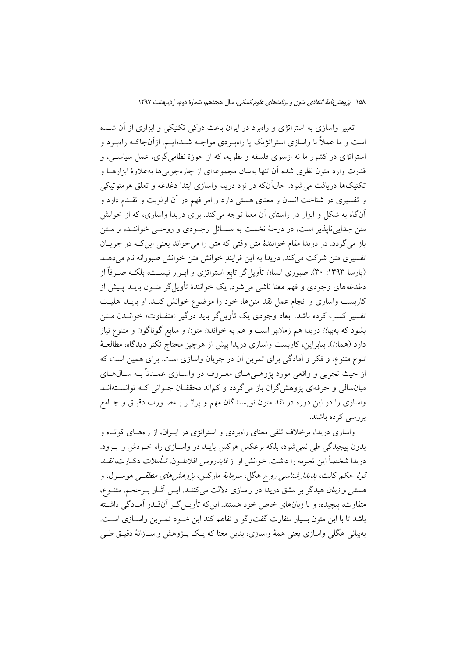تعبیر واسازی به استراتژی و راهبرد در ایران باعث درکی تکنیکی و ابزاری از آن شــده است و ما عملاً با واسازی استراتژیک یا راهب دی مواجـه شــدهایــم. ازآنجاکــه راهبـرد و استراتژی در کشور ما نه ازسوی فلسفه و نظریه، که از حوزهٔ نظامی گری، عمل سیاسی، و قدرت وارد متون نظري شده آن تنها بهسان مجموعهاي از چارهجويي ها بهعلاوهٔ ابزارهــا و تکنیکها دریافت می شود. حالِ آنکه در نزد دریدا واسازی ابتدا دغدغه و تعلق هرمنوتیکی و تفسیری در شناخت انسان و معنای هستی دارد و امر فهم در آن اولویت و تقـدم دارد و آنگاه به شکل و ابزار در راستای آن معنا توجه میکند. برای دریدا واسازی، که از خوانش متن جدایی ناپذیر است، در درجهٔ نخست به مسـائل وجـودی و روحــی خواننــده و مــتن باز مي گردد. در دريدا مقام خوانندهٔ متن وقتي كه متن را مي خواند يعني اين كــه در جريــان تفسیری متن شرکت میکند. دریدا به این فرایندِ خوانش متن خوانش صبورانه نام میدهـد (پارسا ۱۳۹۳: ۳۰). صبوری انسان تأویل گر تابع استراتژی و ابـزار نیسـت، بلکـه صـرفاً از دغدغههای وجودی و فهم معنا ناشی می شود. یک خوانندهٔ تأویل گر متـون بایــد پـیش از کاربست واسازی و انجام عمل نقد متنها، خود را موضوع خوانش کنـد. او بایــد اهلیــت تفسیر کسب کرده باشد. ابعاد وجودی یک تأویل گر باید درگیر «متفـاوت» خوانــدن مــتن بشود که بهبیان دریدا هم زمانبر است و هم به خواندن متون و منابع گوناگون و متنوع نیاز دارد (همان). بنابراین، کاربست واسازی دریدا پیش از هرچیز محتاج تکثر دیدگاه، مطالعـهٔ تنوع متنوع، و فكر و آمادگي براي تمرين آن در جريان واسازي است. براي همين است كه از حیث تجربی و واقعی مورد پژوهـی۱عـای معـروف در واســازی عمــدتاً بــه ســال۱هــای میانسالی و حرفهای پژوهش گران باز می گردد و کماند محققـان جــوانی کــه توانســتهانــد واسازی را در این دوره در نقد متون نویسندگان مهم و پراثــر بــهصــورت دقیــق و جــامع بررسی کرده باشند.

واسازی دریدا، برخلاف تلقی معنای راهبردی و استراتژی در ایــران، از راههـای کوتـاه و بدون پیچیدگی طی نمی شود، بلکه برعکس هرکس بایــد در واســازی راه خــودش را بــرود. دريدا شخصاً اين تجربه را داشت. خوانش او از *فايدروس* افلاطـون، *تـأملات دكـارت، نقــاـ* ق*وهٔ حکم* کانت، *پدیدارشناسی روح ه*گل، *سرمایهٔ م*ارکس، *پژوهشرهای منطقی ه*وسـرل، و هست*نی و زمان* هیدگر بر مشق دریدا در واسازی دلالت میکننــد. ایــن آثــار پــرحجم، متنــوع، متفاوت، پیچیده، و با زبانهای خاص خود هستند. اینکه تأویـلگـر آنقـدر آمـادگی داشـته باشد تا با این متون بسیار متفاوت گفتوگو و تفاهم کند این خـود تمـرین واسـازی اسـت. بهبياني هگلي واسازي يعني همهٔ واسازي، بدين معنا که يـک پـــژوهش واســـازانهٔ دقيــق طــي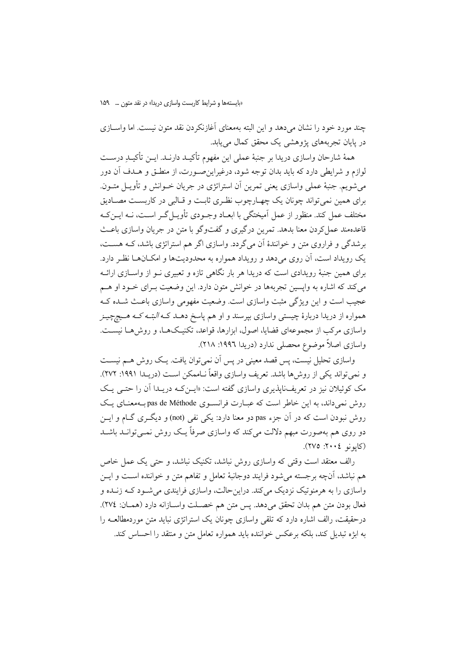چند مورد خود را نشان میدهد و این البته بهمعنای آغازنکردن نقد متون نیست. اما واسـازی در پایان تجربههای پژوهشی یک محقق کمال می یابد.

همهٔ شارحان واسازی دریدا بر جنبهٔ عملی این مفهوم تأکیـد دارنــد. ایــن تأکیــدِ درســت لوازم و شرایطی دارد که باید بدان توجه شود، درغیراین صـورت، از منطـق و هـدف آن دور مي شويم. جنبهٔ عملي واسازي يعني تمرين أن استراتژي در جريان خــوانش و تأويــل متــون. براي همين نمي تواند چونان يک چهـارچوب نظـري ثابـت و قـالبي در کاربسـت مصــاديق مختلف عمل کند. منظور از عمل اَمیختگی با ابعـاد وجـودی تأویــل گــر اســت، نــه ایــن کــه قاعدهمند عمل کردن معنا بدهد. تمرین درگیری و گفتوگو با متن در جریان واسازی باعـث برشدگی و فراروی متن و خوانندهٔ آن می گردد. واسازی اگر هم استراتژی باشد، کــه هســت، یک رویداد است، آن روی می دهد و رویداد همواره به محدودیتها و امکـانهـا نظـر دارد. برای همین جنبهٔ رویدادی است که دریدا هر بار نگاهی تازه و تعبیری نــو از واســازی ارائــه می کند که اشاره به وایسین تجربهها در خوانش متون دارد. این وضعیت بـرای خــود او هــم عجیب است و این ویژگی مثبت واسازی است. وضعیت مفهومی واسازی باعث شـده ک همواره از دریدا دربارهٔ چیست<sub>ی</sub> واسازی بپرسند و او هم پاسخ دهــد کــه *البتــه کــه هــیچچیــز* واسازی مرکب از مجموعهای قضایا، اصول، ابزارها، قواعد، تکنیکها، و روشها نیست. واسازي اصلاً موضوع محصلي ندارد (دريدا ١٩٩٦: ٢١٨).

واسازی تحلیل نیست، پس قصد معینی در پس آن نمی توان یافت. یک روش هــم نیســت و نمبي تواند يكي از روش ها باشد. تعريف وإسازي وإقعاً نــاممكن اســت (دريــدا ١٩٩١: ٢٧٢). مک کوئیلان نیز در تعریف:ایذیری واسازی گفته است: «ایــنکـه دریــدا اَن را حتــی یــک روش نمیداند، به این خاطر است که عبـارت فرانســوی pas de Méthode بــهمعنــای یــک روش نبودن است که در آن جزء pas دو معنا دارد: یکی نفی (not) و دیگـری گــام و ایــن دو روی هم بهصورت مبهم دلالت میکند که واسازی صرفاً یـک روش نمــیتوانــد باشــد (کايونو ٢٠٠٤: ٢٧٥).

رالف معتقد است وقتی که واسازی روش نباشد، تکنیک نباشد، و حتی یک عمل خاص هم نباشد، آنچه برجسته میشود فرایند دوجانبهٔ تعامل و تفاهم متن و خواننده اسـت و ایــن واسازی را به هرمنوتیک نزدیک میکند. دراین حالت، واسازی فرایندی می شـود کــه زنــده و فعال بودن متن هم بدان تحقق مي دهد. يس متن هم خصـلت واسـازانه دارد (همـان: ٢٧٤). درحقیقت، رالف اشاره دارد که تلقی واسازی چونان یک استراتژی نباید متن موردمطالعـه را به ابژه تبدیل کند، بلکه برعکس خواننده باید همواره تعامل متن و منتقد را احساس کند.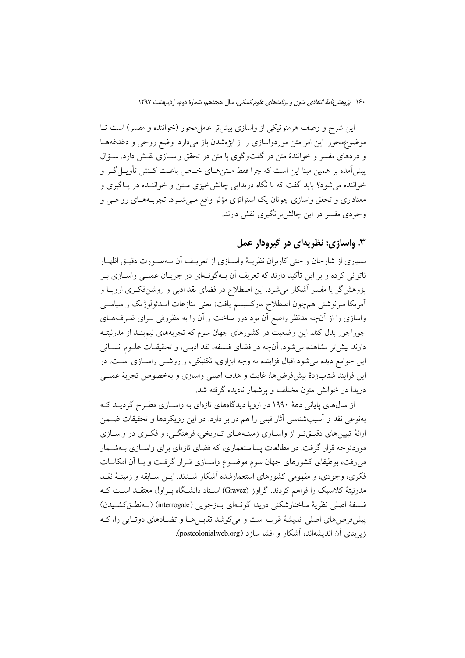این شرح و وصف هرمنوتیکی از واسازی بیش تر عامل محور (خواننده و مفسر) است تــا موضوع محور. این امر متن موردواسازی را از ابژهشدن باز میدارد. وضع روحی و دغدغههـا و دردهای مفسر و خوانندهٔ متن در گفتوگوی با متن در تحقق واســازی نقـش دارد. ســؤال پیشآمده بر همین مبنا این است که چرا فقط مـتن۱مـای خــاص باعـث کـنش تأویــلگـر و خواننده می شود؟ باید گفت که با نگاه دریدایی چالش خیزی مـتن و خواننــده در پــاگیری و معناداری و تحقق واسازی چونان یک استراتژی مؤثر واقع مـیشـود. تجربـههـای روحـی و وجودی مفسر در این چالش برانگیزی نقش دارند.

# ۰۳ واسازي؛ نظريهاي در گيرودار عمل

بسياري از شارحان و حتى كاربران نظريــهٔ واســازي از تعريــف آن بــهصــورت دقيــق اظهــار ناتوانی کرده و بر این تأکید دارند که تعریف آن بــهگونــهای در جریــان عملــی واســازی بــر پژوهش گر یا مفسر آشکار میشود. این اصطلاح در فضای نقد ادبی و روشنفکـری اروپــا و آمریکا سرنوشتی همچون اصطلاح مارکسیسم یافت؛ یعنی منازعات ایــدئولوژیک و سیاســی واسازی را از آنچه مدنظر واضع آن بود دور ساخت و آن را به مظروفی بـرای ظـرفهـای جوراجور بدل کند. این وضعیت در کشورهای جهان سوم که تجربههای نیم بنـد از مدرنیتـه دارند بیش تر مشاهده می شود. آنچه در فضای فلسفه، نقد ادبسی، و تحقیقــات علــوم انســانی این جوامع دیده میشود اقبال فزاینده به وجه ابزاری، تکنیکی، و روشـی واسـازی اسـت. در این فرایند شتابزدهٔ پیشفررضها، غایت و هدف اصلی واسازی و بهخصوص تجربهٔ عملـی دریدا در خوانش متون مختلف و پرشمار نادیده گرفته شد.

از سال های پایانی دههٔ ۱۹۹۰ در اروپا دیدگاههای تازهای به واسـازی مطـرح گردیــد کــه بهنوعی نقد و اَسیبشناسی اَثار قبلی را هم در بر دارد. در این رویکردها و تحقیقات ضــمن ارائهٔ تبیینهای دقیـتیتـر از واسـازی زمینـههـای تـاریخی، فرهنگـی، و فکـری در واسـازی موردتوجه قرار گرفت. در مطالعات پسااستعماری، که فضای تازهای برای واســازی بــهشــمار میرفت، بوطیقای کشورهای جهان سوم موضـوع واسـازی قـرار گرفـت و بـا آن امکانــات فکری، وجودی، و مفهومی کشورهای استعمارشده آشکار شــدند. ایــن ســابقه و زمینــهٔ نقــد مدرنیتهٔ کلاسیک را فراهم کردند. گراوز (Gravez) اسـتاد دانشـگاه بـراول معتقـد اسـت کـه فلسفة اصلي نظرية ساختارشكني دريدا گونــهاي بــازجويي (interrogate) (بــهنطــقكشــيدن) پیشفر ضهای اصلی اندیشهٔ غرب است و می کوشد تقابـل هـا و تضـادهای دوتـایی را، کـه زیربنای آن اندیشهاند، آشکار و افشا سازد (postcolonialweb.org).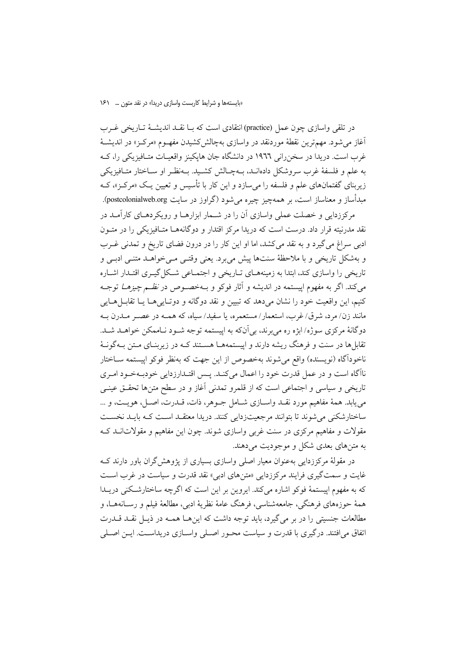در تلقی واسازی چون عمل (practice) انتقادی است که بــا نقــد اندیشــهٔ تــاریخی غــرب آغاز می شود. مهم ترین نقطهٔ موردنقد در واسازی بهچالش کشیدن مفهـوم «مرکـز» در اندیشـهٔ غرب است. دریدا در سخن رانی ۱۹۶۶ در دانشگاه جان هایکینز واقعیـات متـافیزیکی را، کـه به علم و فلسفهٔ غرب سروشکل دادهانـد، بــهچـالش کشــید. بــهنظـر او ســاختار متــافيزيکي زیربنای گفتمانهای علم و فلسفه را میسازد و این کار با تأسیس و تعیین یک «مرکز»، کـه مبدأساز و معناساز است، بر همهچیز چیره می شود (گراوز در سایت postcolonialweb.org).

مرکز زدایی و خصلت عملی واسازی آن را در شــمار ابزارهــا و رویکردهــای کارآمــد در .<br>نقد مدرنیته قرار داد. درست است که دریدا مرکز اقتدار و دوگانههــا متــافیزیکی را در متــون ادبی سراغ می گیرد و به نقد می کشد، اما او این کار را در درون فضای تاریخ و تمدنی غـرب و بهشکل تاریخی و با ملاحظهٔ سنتها پیش میبرد. یعنی وقتـی مـیخواهــد متنـی ادبـی و .<br>تاریخی را واسازی کند، ابتدا به زمینههــای تــاریخی و اجتمــاعی شــکل گیــری اقتــدار اشــاره می کند. اگر به مفهوم اییستمه در اندیشه و آثار فوکو و بـهخصـوص در *نظـم چیزهــا* توجـه کنیم، این واقعیت خود را نشان میدهد که تبیین و نقد دوگانه و دوتـاییهـا یـا تقابــلهــایی مانند زن/ مرد، شرق/ غرب، استعمار/ مستعمره، یا سفید/ سیاه، که همـه در عصـر مـدرن بـه دوگانهٔ مرکزی سوژه/ابژه ره می برند، بی آنکه به اییستمه توجه شـود نـاممکن خواهـد شـد. تقابلها در سنت و فرهنگ ریشه دارند و اییستمههـا هسـتند کـه در زیربنـای مـتن بـهگونـهٔ ناخوداًگاه (نویسنده) واقع می شوند بهخصوص از این جهت که بهنظر فوکو اییستمه ســاختار ناآگاه است و در عمل قدرت خود را اعمال میکند. پـس اقتـدارزدایی خودبـهخـود امـری تاریخی و سیاسی و اجتماعی است که از قلمرو تمدنی آغاز و در سطح متنها تحقـق عینـی مي يابد. همهٔ مفاهيم مورد نقـد واســازي شــامل جــوهر، ذات، قــدرت، اصــل، هويــت، و … ساختارشکنی می شوند تا بتوانند مرجعیتزدایی کنند. دریدا معتقـد اسـت کـه بایـد نخسـت مقولات و مفاهیم مرکزی در سنت غربی واسازی شوند. چون این مفاهیم و مقولاتانید ک به متنهای بعدی شکل و موجودیت می دهند.

در مقولهٔ مرکززدایی بهعنوان معیار اصلی واسازی بسیاری از پژوهش گران باور دارند ک غايت و سمت گيري فرايند مركززدايي «متنهاي ادبي» نقد قدرت و سياست در غرب است که به مفهوم اییستمهٔ فوکو اشاره میکند. ایروین بر این است که اگرچه ساختارشکنی دریـدا همهٔ حوزههای فرهنگی، جامعهشناسی، فرهنگ عامهٔ نظریهٔ ادبی، مطالعهٔ فیلم و رسـانههـا، و مطالعات جنسیتی را در بر می گیرد، باید توجه داشت که اینهـا همـه در ذیـل نقـد قــدرت اتفاق میافتند. درگیری با قدرت و سیاست محـور اصـلی واسـازی دریداسـت. ایــن اصـلی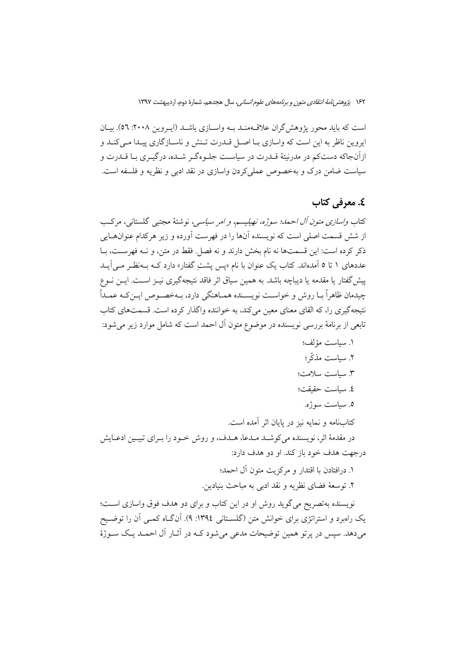است که باید محور پژوهش گران علاقـهمنـد بـه واسـازی باشـد (ایـروین ۲۰۰۸: ۵٦). بیـان ابروین ناظر به این است که واسازی بـا اصـل قــدرت تــنش و ناســاز گاری پــدا مــی کنــد و ازآنجاکه دستکم در مدرنیتهٔ قــدرت در سیاسـت جلــوهگــر شــده، درگیــری بــا قــدرت و سیاست ضامن درک و بهخصوص عملیکردن واسازی در نقد ادبی و نظریه و فلسفه است.

## **٤. معرفي كتاب**

كتاب *واسازي متون آل احمد؛ سوژه، نهيليسم، و امر سياسي،* نوشتهٔ مجتبي گلستاني، مركب از شش قسمت اصلی است که نویسنده آنها را در فهرست آورده و زیر هرکدام عنوانهـایی ذكر كرده است: اين قسمتها نه نام بخش دارند و نه فصل. فقط در متن، و نــه فهرســت، بــا عددهای ۱ تا ۵ آمدهاند. کتاب یک عنوان با نام «پس پشتِ گفتار» دارد کـه بـهنظـر مـی[یــد پیش گفتار یا مقدمه یا دیباچه باشد. به همین سیاق اثر فاقد نتیجهگیری نیــز اســت. ایــن نــوع چيدمان ظاهراً بــا روش و خواســت نويســنده همــاهنگي دارد، بــهخصــوص ايــن كــه عمــداً نتیجه گیری را، که القای معنای معین می کند، به خواننده واگذار کرده است. قسمتهای کتاب تابعی از برنامهٔ بررسی نویسنده در موضوع متون آل احمد است که شامل موارد زیر میشود:

١. سياست مؤلف؛ ٢. سياست مذكّى؛ ٣. سياست سلامت؛ ٤. سياست حقيقت؛ ٥. سياست سوژه. کتابنامه و نمایه نیز در پایان اثر آمده است. در مقدمهٔ اثر، نویسنده میکوشـد مـدعا، هـدف، و روش خـود را بـرای تبیـین ادعـایش در جهت هدف خود باز کند. او دو هدف دارد: ١. درافتادن با اقتدار و مركزيت متون آل احمد؛

٢. توسعهٔ فضای نظریه و نقد ادبی به مباحث بنیادین.

نویسنده بهتصریح می گوید روش او در این کتاب و برای دو هدف فوق واسازی است؛ یک رامبرد و استراتژی برای خوانش متن (گلســتانی ١٣٩٤: ۹). آنگــاه کمــی آن را توضــیح می دهد. سپس در پر تو همین توضیحات مدعی می شود کـه در آثــار آل احمــد یـک ســوژهٔ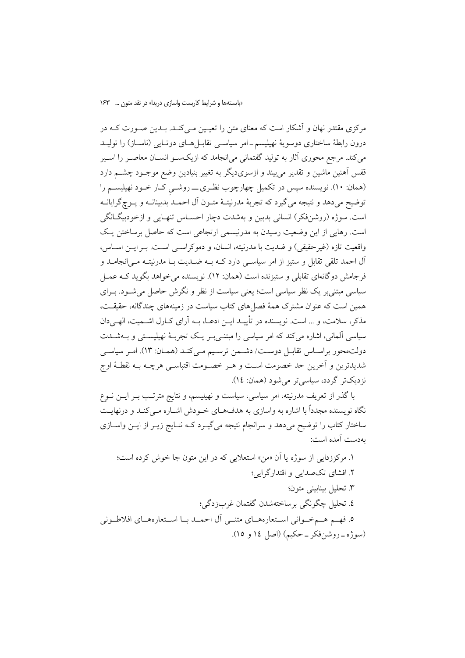مرکزی مقتدر نهان و آشکار است که معنای متن را تعیـین مـی کنـد. بـدین صـورت کــه در درون رابطهٔ ساختاری دوسویهٔ نهیلیسم-امر سیاسـی تقابـل هـای دوتـایی (ناسـاز) را تولیـد می کند. مرجع محوری آثار به تولید گفتمانی می(نجامد که ازیکسو انســان معاصــر را اســیر قفس آهنین ماشین و تقدیر می بیند و ازسویدیگر به تغییر بنیادین وضع موجـود چشــم دارد (همان: ١٠). نویسنده سپس در تکمیل چهارچوب نظری \_ روشـی کـار خـود نهیلیسـم را توضيح مي دهد و نتيجه مي گيرد كه تجربهٔ مدرنيتـهٔ متـون آل احمـد بدبينانــه و يــوچگرايانــه است. سوژه (روشنفکر) انسانی بدبین و بهشدت دچار احسـاس تنهـایی و ازخودبیگـانگی است. رهایی از این وضعیت رسیدن به مدرنیسمی ارتجاعی است که حاصل برساختن یک واقعيت تازه (غير حقيقي) و ضديت با مدرنيته، انسان، و دموكراســي اســت. بــر ايــن اســاس، آل احمد تلقی تقابل و ستیز از امر سیاسبی دارد کـه بـه ضـدیت بـا مدرنیتـه مـی|نجامـد و فرجامش دوگانهای تقابلی و ستیزنده است (همان: ١٢). نویسنده می خواهد بگوید کـه عمــل سیاسی مبتنی پر یک نظر سیاسی است؛ یعنی سیاست از نظر و نگرش حاصل می شـود. بـرای همین است که عنوان مشترک همهٔ فصل های کتاب سیاست در زمینههای چندگانه، حقیقـت، مذکر، سلامت، و … است. نویسنده در تأییــد ایــن ادعــا، بــه آرای کــارل اشــمیت، الهــی دان سیاسی آلمانی، اشاره میکند که امر سیاسی را مبتنـیبـر یـک تجربـهٔ نهیلیسـتی و بــهشــدت دولت محور براسـاس تقابـل دوسـت/ دشـمن ترسـيم مـى كنـد (همـان: ١٣). امـر سياسـى شديدترين و آخرين حد خصومت اسـت و هـر خصـومت اقتباسـي هرچــه بــه نقطــهٔ اوج نزديکتر گردد، سياسي تر مي شود (همان: ١٤).

با گذر از تعریف مدرنیته، امر سیاسی، سیاست و نهیلیسم، و نتایج مترتـب بــر ایــن نــوع نگاه نویسنده مجدداً با اشاره به واسازی به هدفهـای خـودش اشـاره مـیکنـد و درنهایـت ساختار کتاب را توضیح میدهد و سرانجام نتیجه میگیرد کـه نتـایج زیــر از ایــن واســازی بەدست آمدە است: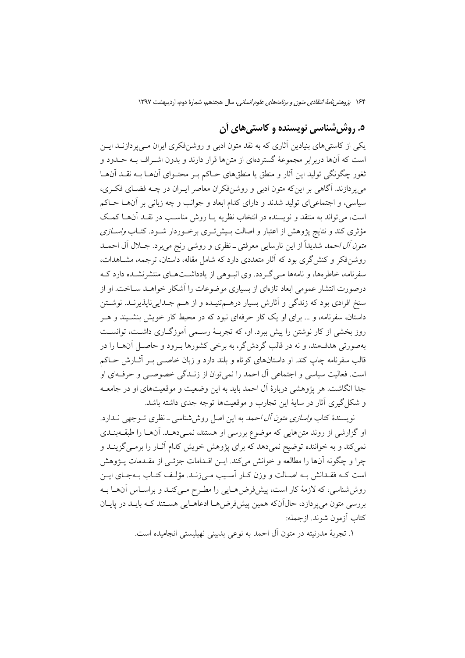# ۵. روش شناسی نویسنده و کاستی های آن

یکی از کاستی های بنیادین آثاری که به نقد متون ادبی و روشن فکری ایران مـی پر دازنــد ایــن است که آنها دربرابر مجموعهٔ گستردهای از متنها قرار دارند و بدون اشــراف بــه حــدود و ثغور چگونگی تولید این آثار و منطق یا منطقهای حـاکم بـر محتـوای آنهـا بـه نقــد آنهـا می پردازند. آگاهی بر این که متون ادبی و روشنفکران معاصر ایـران در چــه فضـای فکـری، سیاسی، و اجتماعی ای تولید شدند و دارای کدام ابعاد و جوانب و چه زبانی بر آنهــا حــاکم است، می تواند به منتقد و نویسنده در انتخاب نظریه یـا روش مناسـب در نقـد آنهـا کمـک مؤثری کند و نتایج پژوهش از اعتبار و اصالت بـیشتری برخـوردار شـود. کتـاب *واسـازی متون آل احمد* شدّیداً از این نارسایی معرفتی ــ نظری و روشی رنج میبرد. جــلال آل احمــد روشنفکر و کنش گری بود که آثار متعددی دارد که شامل مقاله، داستان، ترجمه، مشـاهدات، سفرنامه، خاطرهها، و نامهها مـی گـردد. وی انبـوهی از یادداشــتهـای منتشرنشــده دارد کــه درصورت انتشار عمومی ابعاد تازهای از بسیاری موضوعات را آشکار خواهید سیاخت. او از سنخ افرادي بود كه زندگي و آثارش بسيار درهــمتنيــده و از هــم جــدايي نايذيرنــد. نوشــتن داستان، سفرنامه، و … برای او یک کار حرفهای نبود که در محیط کار خویش بنشـیند و هــر روز بخشی از کار نوشتن را پیش ببرد. او، که تجربـهٔ رسـمی اَموزگــاری داشــت، توانســت بهصورتی هدف،مند، و نه در قالب گردش گر، به برخی کشورها بـرود و حاصـل آن@ا را در قالب سفرنامه چاپ کند. او داستانهای کوتاه و بلند دارد و زبان خاصـبی بـر آثــارش حــاکم است. فعالیت سیاسی و اجتماعی آل احمد را نمی توان از زنـدگی خصوصـی و حرفـهای او جدا انگاشت. هر پژوهشی دربارهٔ آل احمد باید به این وضعیت و موقعیتهای او در جامعـه و شکل گیری آثار در سایهٔ این تجارب و موقعیتها توجه جدی داشته باشد.

نویسندهٔ کتاب *واسازی متون آل احمد* به این اصل روش شناسی ـ نظری تــوجهی نــدارد. او گزارشی از روند متنهایی که موضوع بررسی او هستند، نمـیدهـد. آنهـا را طبقـهبنـدی .<br>نمی کند و به خواننده توضیح نمیدهد که برای پژوهش خویش کدام آثـار را برمــیگزینــد و چرا و چگونه آنها را مطالعه و خوانش می کند. ایــن اقــدامات جزئــی از مقــدمات پـــژوهش است کـه فقـدانش بـه اصـالت و وزن کـار اَسـيب مـي(نـد. مؤلـف کتـاب بـهجـاي ايـن روششاسی، که لازمهٔ کار است، پیشفرض هـایی را مطـرح مـیکنـد و براسـاس آنهـا بـه بررسی متون می پردازد، حال آنکه همین پیش فرضها ادعاهـایی هسـتند کـه بایـد در پایـان كتاب آزمون شوند. از جمله:

١. تجربهٔ مدرنیته در متون آل احمد به نوعی بدبینی نهیلیستی انجامیده است.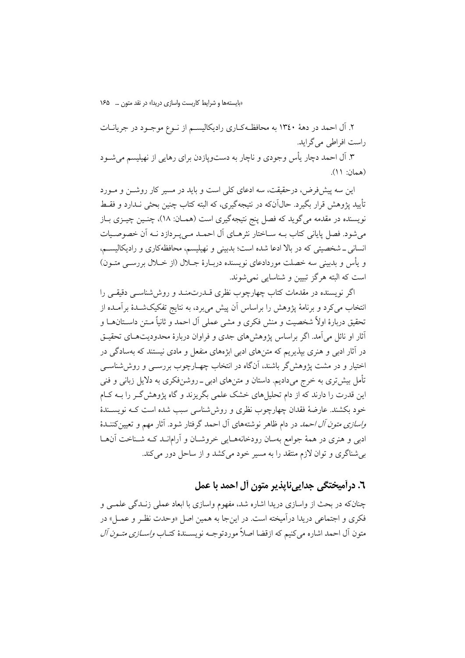«بایستهها و شرایط کاربست واسازی دریدا» در نقد متون … ۱۶۵

۲. آل احمد در دههٔ ۱۳٤۰ به محافظـهکـاری رادیکالیســم از نــوع موجــود در جریانــات راست افراطی می گراید. ۳. آل احمد دچار یأس وجودی و ناچار به دستوپازدن برای رهایی از نهیلیسم میشـود (همان: ۱۱).

این سه پیشفر ض، درحقیقت، سه ادعای کلی است و باید در مسیر کار روشــن و مــورد تأييد يژوهش قرار بگيرد. حال]نکه در نتيجهگيري، که البته کتاب چنين بحثي نــدارد و فقــط نویسنده در مقدمه می گوید که فصل پنج نتیجهگیری است (همـان: ۱۸)، چنـین چیــزی بــاز می شود. فصل پایانی کتاب بـه سـاختار نثرهـای آل احمـد مـی پـردازد نـه آن خصوصـیات انسانی ـ شخصیتی که در بالا ادعا شده است؛ بدبینی و نهیلیسم، محافظهکاری و رادیکالیسم، و یأس و بدبینی سه خصلت موردادعای نویسنده دربـارهٔ جـلال (از خـلال بررســی متــون) است که البته هرگز تبیین و شناسایی نمی شوند.

اگر نویسنده در مقدمات کتاب چهارچوب نظری قــدرتمنــد و روش۵شناســی دقیقــی را انتخاب می کرد و برنامهٔ پژوهش را براساس آن پیش می برد، به نتایج تفکیکشـدهٔ برآمـده از تحقیق دربارهٔ اولاً شخصیت و منش فکری و مشی عملی آل احمد و ثانیاً مـتن داسـتان۱مـا و أثار او نائل می آمد. اگر براساس پژوهشهای جدی و فراوان دربارهٔ محدودیتهـای تحقیـق در آثار ادبی و هنری بپذیریم که متن های ادبی ابژههای منفعل و مادی نیستند که بهسادگی در اختیار و در مشت یژوهش گر باشند، آنگاه در انتخاب چهـارچوب بررســی و روش(شناســی تأمل بیش تری به خرج می دادیم. داستان و متن های ادبی ــ روشنفکری به دلایل زبانی و فنی این قدرت را دارند که از دام تحلیل های خشک علمی بگریزند و گاه پژوهش گــر را بــه کــام خود بکشند. عارضهٔ فقدان چهارچوب نظری و روش شناسی سبب شده است کـه نویســندهٔ *واسازی متون آل احمد د*ر دام ظاهر نوشتههای آل احمد گرفتار شود. آثار مهم و تعیین کننــدهٔ ادبی و هنری در همهٔ جوامع بهسان رودخانههـایی خروشـان و آرامانــد کــه شــناخت آنهــا بی شناگری و توان لازم منتقد را به مسیر خود می کشد و از ساحل دور می کند.

# ٦. درآمیختگی جدایینایذیر متون آل احمد با عمل

چنانکه در بحث از واسازی دریدا اشاره شد، مفهوم واسازی با ابعاد عملی زنـدگی علمـی و فكرى و اجتماعي دريدا درآميخته است. در اين جا به همين اصل «وحدت نظـر و عمــل» در متون آل احمد اشاره مي كنيم كه ازقضا اصلاً موردتوجــه نويســندهٔ كتــاب *واســازي متــون آل*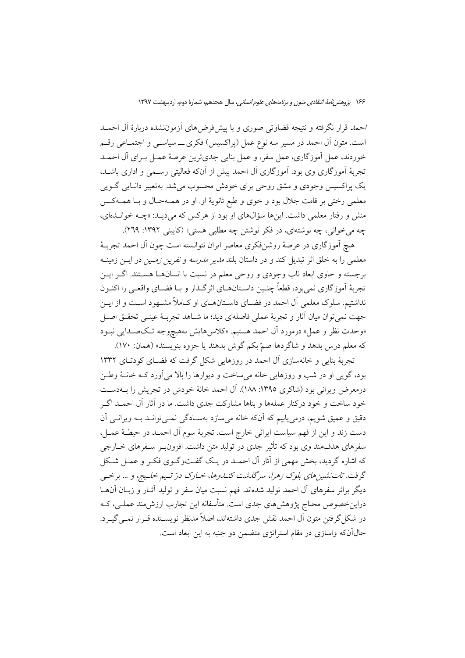احمه قرار نگرفته و نتیجه قضاوتی صوری و با پیش فرضهای آزموننشده دربارهٔ آل احمــد است. متون آل احمد در مسیر سه نوع عمل (پراکسیس) فکری ـــ سیاســی و اجتمــاعی رقــم خوردند، عمل آموزگاري، عمل سفر، و عمل بنايي جديترين عرصهٔ عمـل بـراي آل احمـد تجربهٔ آموزگاری وی بود. آموزگاری آل احمد پیش از آنکه فعالیتی رسـمی و اداری باشـد. یک پراکسیس وجودی و مشق روحی برای خودش محسوب می شد. بهتعبیر دانـایی گــویی معلمي رختي بر قامت جلال بود و خوي و طبع ثانويهٔ او. او در همـهحـال و بـا همـهكـس منش و رفتار معلمی داشت. اینها سؤالهای او بود از هرکس که می دیـد: «چــه خوانــدهای، چه می خوانی، چه نوشتهای، در فکر نوشتن چه مطلبی هستی» (کایینی ۱۳۹۲: ۲۶۹).

هیچ آموزگاری در عرصهٔ روشنفکری معاصر ایران نتوانسته است چون آل احمد تجربـهٔ معلمی را به خلق اثر تبدیل کند و در داستان بلند *مدیر مدرسه و نفرین زمـین د*ر ایــن زمینــه برجسته و حاوی ابعاد ناب وجودی و روحی معلم در نسبت با انسانهــا هســتند. اگــر ايــن تجربهٔ اَموزگاری نمی بود، قطعاً چنـین داسـتانهــای اثرگــذار و بــا فضــای واقعــی را اکنــون نداشتیم. سلوک معلمی آل احمد در فضـای داسـتانهــای او کــاملاً مشــهود اسـت و از ایــن جهت نمي توان ميان آثار و تجربهٔ عملي فاصلهاي ديد؛ ما شــاهد تجربـهٔ عينــي تحقــق اصــل «وحدت نظر و عمل» درمورد آل احمد هستیم. «کلاسهایش بههیچوجه تـکصـدایی نبـود كه معلم درس بدهد و شاگردها صمّ بكم گوش بدهند يا جزوه بنويسند» (همان: ١٧٠).

تجربهٔ بنایی و خانهسازی آل احمد در روزهایی شکل گرفت که فضـای کودتـای ۱۳۳۲ بود، گویی او در شب و روزهایی خانه می ساخت و دیوارها را بالا می آورد کـه خانــهٔ وطــن درمعرض ويراني بود (شاكري ١٣٩٥: ١٨٨). آل احمد خانهٔ خودش در تجريش را بــهدسـت خود ساخت و خود درکنار عملهها و بناها مشارکت جدی داشت. ما در آثار آل احمـد اگــر دقیق و عمیق شویم، درمی یابیم که آنکه خانه می سازد بهسـادگی نمـیتوانـد بـه ویرانـی آن دست زند و این از فهم سیاست ایرانی خارج است. تجربهٔ سوم آل احمـد در حیطـهٔ عمـل، سفرهای هدفمند وی بود که تأثیر جدی در تولید متن داشت. افزون بــر ســفرهای خــارجی که اشاره گردید، بخش مهمی از آثار آل احمـد در یـک گفـتوگـوی فکـر و عمـل شـکل گرفت. تاتنشین های بلوک زهرا، سرگذشت کنـلـوها، خـارک درّ تـیم خلـیج، و … برخـی دیگر براثر سفرهای آل احمد تولید شدهاند. فهم نسبت میان سفر و تولید آثـار و زبـان آنهـا دراینخصوص محتاج پژوهشهای جدی است. متأسفانه این تجارب ارزش،مند عملـی، کــه در شکل گرفتن متون آل احمد نقش جدی داشتهاند، اصلاً مدنظر نویســنده قــرار نمــی گیــرد. حال آنکه واسازی در مقام استراتژی متضمن دو جنبه به این ابعاد است.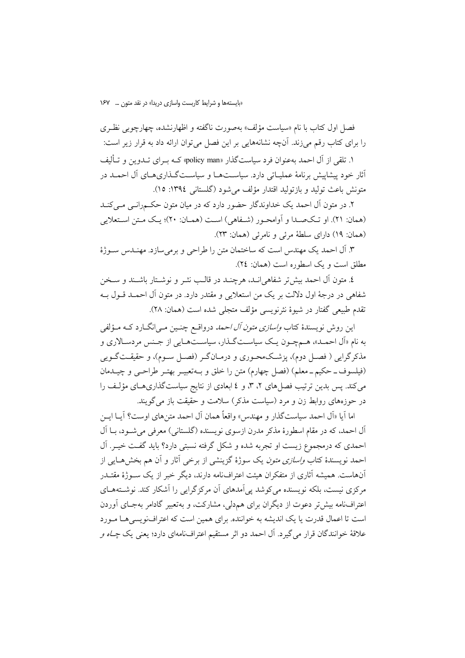فصل اول کتاب با نام «سیاست مؤلف» بهصورت ناگفته و اظهارنشده، چهارچوبی نظـری را برای کتاب رقم می زند. آنچه نشانههایی بر این فصل می توان ارائه داد به قرار زیر است:

۱. تلقی از آل احمد بهعنوان فرد سیاستگذار «policy man» کـه بـرای تــدوین و تــألیف أثار خود پیشاپیش برنامهٔ عملیــاتی دارد. سیاســتهــا و سیاســتگــذاریهــای آل احمــد در متونش باعث توليد و بازتوليد اقتدار مؤلف مي شود (گلستاني ١٣٩٤: ١٥).

۲. در متون آل احمد یک خداوندگار حضور دارد که در میان متون حکمرانبی مبی کنـد (همان: ٢١). او تـكـصـدا و أوامحـور (شـفاهي) اسـت (همـان: ٢٠)؛ يـك مـتن اسـتعلايي (همان: ١٩) داراي سلطة مرئي و نامرئي (همان: ٢٣).

۳. آل احمد یک مهندس است که ساختمان متن را طراحی و برمیسازد. مهنـدس سـوژهٔ مطلق است و یک اسطوره است (همان: ٢٤).

٤. متون آل احمد بیش تر شفاهی انـد، هرچنـد در قالـب نشـر و نوشـتار باشـند و سـخن شفاهی در درجهٔ اول دلالت بر یک من استعلایی و مقتدر دارد. در متون آل احمـد قــول بــه تقدم طبيعي گفتار در شيوهٔ نثرنويسي مؤلف متجلي شده است (همان: ۲۸).

این روش نویسندهٔ کتاب *واسازی متون آل احمد* درواقــع چنــین مــی|نگــارد کــه مــؤلفـی به نام «اَل احمـد»، هـمچـون يـک سياسـتگـذار، سياسـتهـايي از جـنس مردسـالاري و مذکرگرایی ( فصـل دوم)، یزشـکـهحـوری و درمـانگـر (فصـل سـوم)، و حقیقـتگــویی (فیلسوف۔حکیم۔معلم) (فصل چھارم) متن را خلق و بـهتعبیـر بھتـر طراحـی و چیـدمان می کند. پس بدین ترتیب فصل های ۲، ۳، و ٤ ابعادی از نتایج سیاستگذاری هـای مؤلـف را در حوزههای روابط زن و مرد (سیاست مذکر) سلامت و حقیقت باز می گویند.

اما أيا «أل احمد سياست گذار و مهندس» واقعاً همان أل احمد متن هاي اوست؟ أيــا ايــن آل احمد، که در مقام اسطورهٔ مذکر مدرن ازسوی نویسنده (گلستانی) معرفی می شـود، بـا آل احمدی که درمجموع زیست او تجربه شده و شکل گرفته نسبتی دارد؟ باید گفت خیـر. آل احمد نویسندهٔ کتاب *واسازی متون* یک سوژهٔ گزینشی از برخی آثار و آن هم بخش۵هایی از آنهاست. همیشه آثاری از متفکران هیئت اعترافنامه دارند، دیگر خبر از یک سـوژهٔ مقتــدر مرکزی نیست، بلکه نویسنده می کوشد یی آمدهای آن مرکز گرایی را آشکار کند. نوشــتههــای اعتراف نامه بیش تر دعوت از دیگران برای همدلی، مشارکت، و بهتعبیر گادامر بهجـای آوردن است تا اعمال قدرت یا یک اندیشه به خواننده. برای همین است که اعترافنویسی هـا مـورد علاقهٔ خوانندگان قرار میگیرد. آل احمد دو اثر مستقیم اعترافنامهای دارد؛ یعنی یک *چـاه و*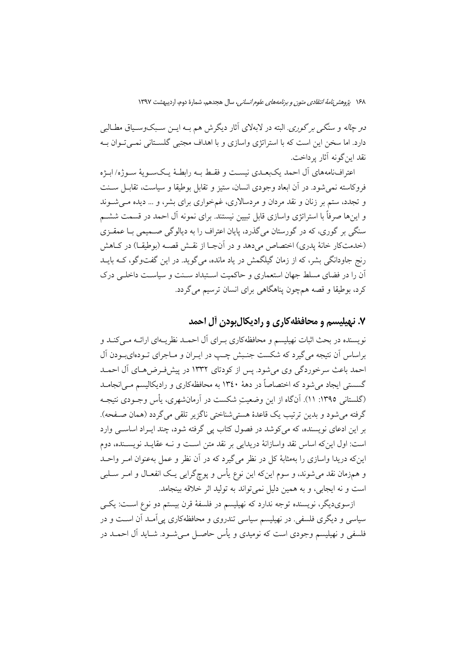*دو چاله و سنگی بر گوری.* البته در لابهلای آثار دیگرش هم بـه ایــن سـبکوســیاق مطــالبی دارد. اما سخن این است که با استراتژی واسازی و با اهداف مجتبی گلســتانی نمــی تــوان بــه نقد اين گونه آثار پرداخت.

اعترافنامههاي أل احمد يكبعـدي نيسـت و فقـط بــه رابطـهٔ يـكســويهٔ ســوژه/ابــژه فروكاسته نمي شود. در أن ابعاد وجودي انسان، ستيز و تقابل بوطيقا و سياست، تقابــل ســنت و تجدد، ستم بر زنان و نقد مردان و مردسالاری، غمخواری برای بشر، و … دیده مـیشـوند و اینها صرفاً با استراتژی واسازی قابل تبیین نیستند. برای نمونه آل احمد در قسمت ششــم سنگی بر گوری، که در گورستان میگذرد، پایان اعتراف را به دیالوگی صــمیمی بــا عمقــزی (خدمتکار خانهٔ پدری) اختصاص میدهد و در آنجـا از نقـش قصــه (بوطيقــا) در كــاهش رنج جاودانگی بشر، که از زمان گیلگمش در یاد مانده، می گوید. در این گفتوگو، کــه بایــد آن را در فضای مسلط جهان استعماری و حاکمیت اسـتبداد سـنت و سیاسـت داخلـی درک کرد، بوطیقا و قصه همچون پناهگاهی برای انسان ترسیم می گردد.

## ۷. نهیلیسم و محافظه کاری و رادیکال بودن آل احمد

نویسنده در بحث اثبات نهیلیسم و محافظهکاری بـرای آل احمـد نظریـهای ارائـه مـی/کنـد و براساس أن نتيجه مي گيرد كه شكست جنـبش چـب در ايـران و مـاجراي تـودهايبـودن أل احمد باعث سرخوردگی وی می شود. پس از کودتای ۱۳۳۲ در پیش فرضهای آل احمـد گسستی ایجاد می شود که اختصاصاً در دههٔ ۱۳٤۰ به محافظهکاری و رادیکالیسم مـی|نجامــد (گلستانی ١٣٩٥: ١١). آنگاه از این وضعیتِ شکست در آرمانشهری، پأس وجـودی نتیجـه گرفته می شود و پدین ترتیب یک قاعدهٔ هسته شناختی ناگزیر تلقی می گردد (همان صفحه). بر این ادعای نویسنده، که میکوشد در فصول کتاب پی گرفته شود، چند ایـراد اساســی وارد است: اول اینکه اساس نقد واسازانهٔ دریدایی بر نقد متن است و نــه عقایــد نویســنده، دوم این که دریدا واسازی را بهمثابهٔ کل در نظر می گیرد که در آن نظر و عمل بهعنوان امـر واحـد و همزمان نقد می شوند، و سوم اینکه این نوع پأس و پوچگرایی یـک انفعـال و امـر سـلبی است و نه ايجابي، و به همين دليل نمي تواند به توليد اثر خلاقه بينجامد.

ازسویدیگر، نویسنده توجه ندارد که نهیلیسم در فلسفهٔ قرن بیستم دو نوع اسـت: یکـی سیاسی و دیگری فلسفی. در نهیلیسم سیاسی تندروی و محافظهکاری یی آمـد آن اسـت و در فلسفی و نهبلیسم وجودی است که نومبدی و پأس حاصیل می شبود. شباید آل احمید در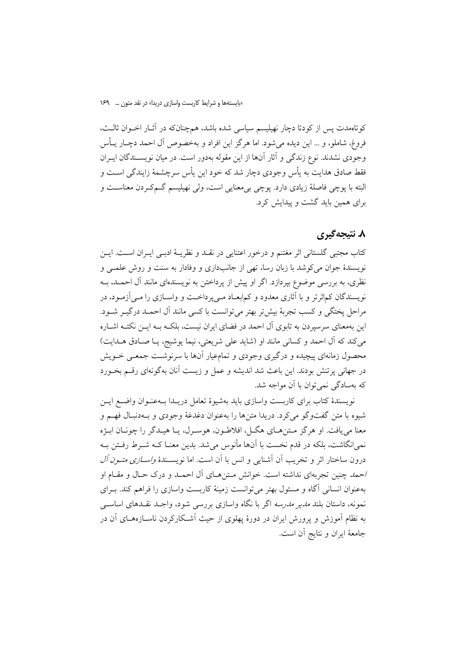کوتاهمدت پس از کودتا دچار نهیلیسم سیاسی شده باشد، همچنانکه در آثـار اخــوان ثالـث، فروغ، شاملو، و … این دیده می شود. اما هرگز این افراد و بهخصوص آل احمد دچـار یــأس وجودي نشدند. نوع زندگي و آثار آنها از اين مقوله بهدور است. در ميان نويسـندگان ايـران فقط صادق هدایت به پأس وجودی دچار شد که خود این پأس سرچشمهٔ زایندگی اسـت و البته با يوچي فاصلهٔ زيادي دارد. يوچي بي معنايي است، ولي نهيليسم گـمکـردن معناســت و برای همین باید گشت و پیدایش کرد.

### ۸. نتىجەگىرى

كتاب مجتبي گلستاني اثر مغتنم و درخور اعتنايي در نقــد و نظريــهٔ ادبــي ايــران اســت. ايــن نویسندهٔ جوان میکوشد با زبان رسا، تهی از جانبداری و وفادار به سنت و روش علمـی و نظری، به بررسی موضوع بپردازد. اگر او پیش از پرداختن به نویسندهای مانند آل احمــد، بــه نویسندگان کماثرتر و با آثاری معدود و کمابعـاد مـ<sub>ی </sub>یرداخـت و واســازی را مــی آزمــود، در مراحل يختگي و كسب تجربهٔ بيش تر بهتر مي توانست با كسي مانند آل احمـد درگيـر شـود. این بهمعنای سرسیردن به تابوی آل احمد در فضای ایران نیست، بلکـه بــه ایــن نکتــه اشــاره می کند که آل احمد و کسانی مانند او (شاید علی شریعتی، نیما پوشیج، یـا صـادق هـدایت) محصول زمانهای پیچیده و درگیری وجودی و تمامعیار آنها با سرنوشت جمعـی خــویش در جهانی پرتنش بودند. این باعث شد اندیشه و عمل و زیست آنان بهگونهای رقسم بخــورد که بهسادگی نمی توان با آن مواجه شد.

نويسندهٔ کتاب برای کاربست واسازی باید بهشیوهٔ تعامل دریـدا بــهعنــوان واضــع ایــن شیوه با متن گفتوگو میکرد. دریدا متنها را بهعنوان دغدغهٔ وجودی و بـهدنبـال فهـم و معنا مي يافت. او هرگز متن هـاي هگـل، افلاطـون، هوسـرل، يـا هيـدگر را چونـان ابـژه نمی انگاشت، بلکه در قدم نخست با آنها مأنوس می شد. بدین معنـا کــه شــرط رفــتن بــه درون ساختار اثر و تخریب آن آشنایی و انس با آن است. اما نویســندهٔ *واســازی متــون آل* احمد چنین تجربهای نداشته است. خوانش مـتنهـای آل احمـد و درک حـال و مقـام او بهعنوان انسانی آگاه و مسئول بهتر می توانست زمینهٔ کاربست واسازی را فراهم کند. بـرای .<br>نمونه، داستان بلن*د مدیر مدرسه* اگر با نگاه واسازی بررسی شود، واجـد نقــدهای اساســی به نظام آموزش و پرورش ایران در دورهٔ پهلوی از حیث آشـکارکردن ناسـازههـای آن در جامعهٔ ایران و نتایج آن است.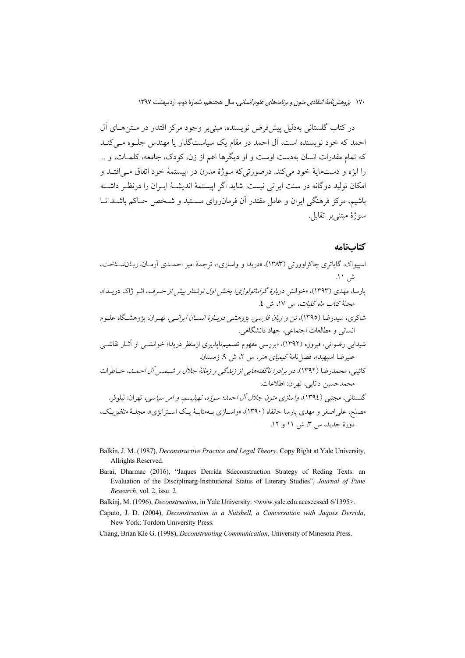در کتاب گلستانی بهدلیل پیش فرض نویسنده، مبنی بر وجود مرکز اقتدار در مــتن هــای آل احمد که خود نویسنده است، آل احمد در مقام یک سیاست گذار یا مهندس چلبوه میے کنید که تمام مقدرات انسان بهدست اوست و او دیگرها اعم از زن، کودک، جامعه، کلمـات، و … را ابژه و دستمايهٔ خود مي کند. درصورتي که سوژهٔ مدرن در اييستمهٔ خود اتفاق مــي افتــد و امکان تولید دوگانه در سنت ایرانی نیست. شاید اگر اییستمهٔ اندیشـهٔ ایــران را درنظـر داشــته باشیم، مرکز فرهنگی ایران و عامل مقتدر آن فرمان(وای مسـتبد و شـخص حـاکم باشــد تــا سوژهٔ مبتنے پر تقابل.

#### كتابنامه

- اسپیواک، گایاتری چاکراوورتی (۱۳۸۳)، «دریدا و واسازی»، ترجمهٔ امیر احمـدی آرمـان، *زبـانشـناخت*، ش ۱۱. پارسا، مهدی (۱۳۹۳)، «خوانش *دربارهٔ گراماتولوژی؛ بخش اول نوشتار پیش از حـرف*، اثـر ژاک دریــدا»، مجلةً كت*اب ماه كليات*، س ١٧، ش ٤. شاکری، سیدرضا (۱۳۹۵)، *تن و زبان فارسی: پژوهشی دربـارهٔ انســان ایرانــی*، تهـران: پژوهشــگاه علــوم انسانی و مطالعات اجتماعی، جهاد دانشگاهی. شیدای<sub>،</sub> رضوانی، فیروزه (۱۳۹۲)، «بررسی مفهوم تصمیمناپذیری ازمنظر دریدا؛ خوانشــی از آثــار نقاشــی عليرضا اسبهيد»، فصل نامهٔ كيم*ياي هنر*، س ٢، ش ٩، زمستان. كائيني، محمدرضا (١٣٩٢)، دو برادر؛ ناگفتههايي از زندگي و زمانهٔ جلال و شـمس آل احمـل، خـاطرات محمدحسین دانایی، تهران: اطلاعات. گلستاني، مجتبي (١٣٩٤)، *واسازي متون جلال آل احمد؛ سوژه، نهپليسم، و ام*ر س*ياسي*، ت<u>هران:</u> نيلوفو. مصلح، على اصغر و مهدي يارسا خانقاه (١٣٩٠)، «واســازي بــهمثابــهٔ يــک اســتراتژي»، مجلــهٔ *متافيزيـک*، دورهٔ جدید، س ۳، ش ۱۱ و ۱۲.
- Balkin, J. M. (1987), Deconstructive Practice and Legal Theory, Copy Right at Yale University, Allrights Reserved.
- Barai, Dharmac (2016), "Jaques Derrida Sdeconstruction Strategy of Reding Texts: an Evaluation of the Disciplinarg-Institutional Status of Literary Studies", Journal of Pune Research, vol. 2, issu. 2.
- Balkinj, M. (1996), *Deconstruction*, in Yale University: <www.yale.edu.accseessed 6/1395>.
- Caputo, J. D. (2004), Deconstruction in a Nutshell, a Conversation with Jaques Derrida, New York: Tordom University Press.

Chang, Brian Kle G. (1998), Deconstructing Communication, University of Minesota Press.